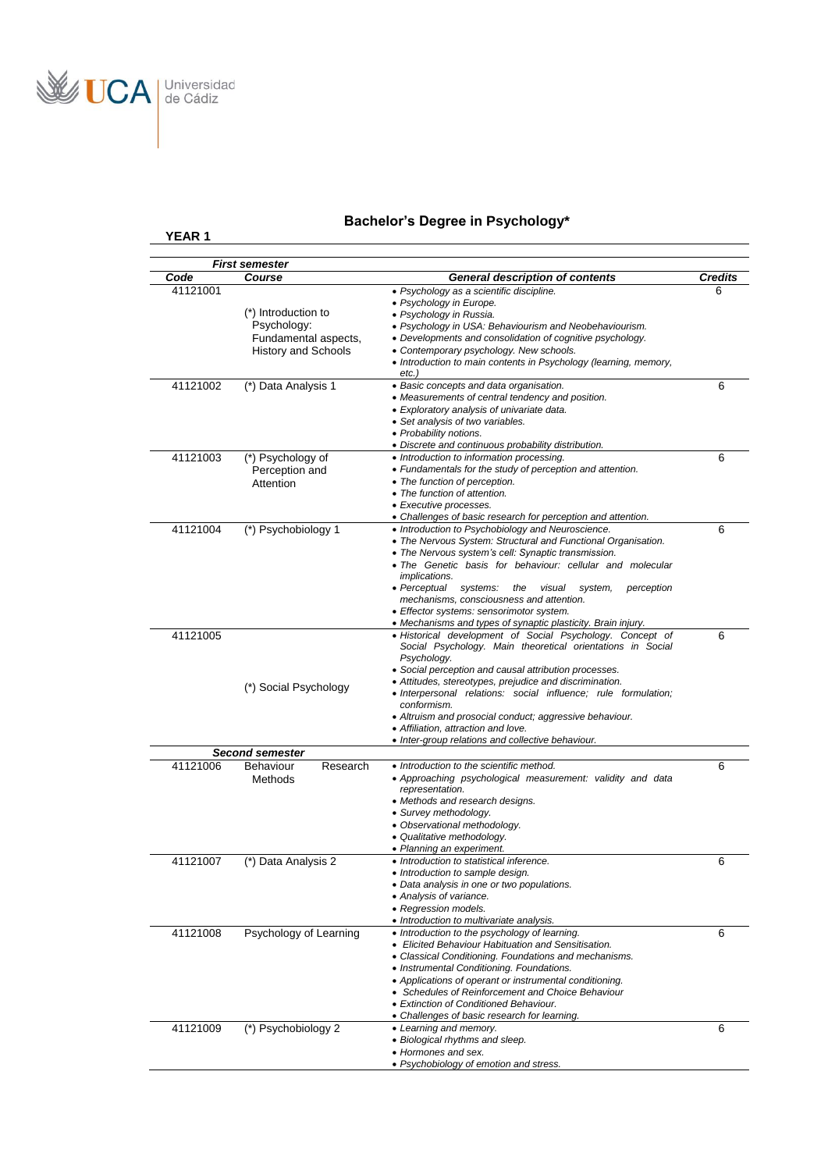

# **Bachelor's Degree in Psychology\***

|          | <b>First semester</b>                                                                    |                                                                                                                                                                                                                                                                                                                                                                                                                                                                                                                                                              |         |
|----------|------------------------------------------------------------------------------------------|--------------------------------------------------------------------------------------------------------------------------------------------------------------------------------------------------------------------------------------------------------------------------------------------------------------------------------------------------------------------------------------------------------------------------------------------------------------------------------------------------------------------------------------------------------------|---------|
| Code     | Course                                                                                   | <b>General description of contents</b>                                                                                                                                                                                                                                                                                                                                                                                                                                                                                                                       | Credits |
| 41121001 | (*) Introduction to<br>Psychology:<br>Fundamental aspects,<br><b>History and Schools</b> | • Psychology as a scientific discipline.<br>• Psychology in Europe.<br>• Psychology in Russia.<br>• Psychology in USA: Behaviourism and Neobehaviourism.<br>• Developments and consolidation of cognitive psychology.<br>• Contemporary psychology. New schools.<br>• Introduction to main contents in Psychology (learning, memory,                                                                                                                                                                                                                         | 6       |
| 41121002 | (*) Data Analysis 1                                                                      | etc.)<br>• Basic concepts and data organisation.<br>• Measurements of central tendency and position.<br>• Exploratory analysis of univariate data.<br>• Set analysis of two variables.<br>• Probability notions.                                                                                                                                                                                                                                                                                                                                             | 6       |
| 41121003 | (*) Psychology of<br>Perception and<br>Attention                                         | • Discrete and continuous probability distribution.<br>• Introduction to information processing.<br>• Fundamentals for the study of perception and attention.<br>• The function of perception.<br>• The function of attention.<br>• Executive processes.                                                                                                                                                                                                                                                                                                     | 6       |
| 41121004 | (*) Psychobiology 1                                                                      | • Challenges of basic research for perception and attention.<br>• Introduction to Psychobiology and Neuroscience.<br>• The Nervous System: Structural and Functional Organisation.<br>• The Nervous system's cell: Synaptic transmission.<br>• The Genetic basis for behaviour: cellular and molecular<br><i>implications.</i><br>• Perceptual<br>visual<br>perception<br>systems:<br>the<br>system,<br>mechanisms, consciousness and attention.<br>• Effector systems: sensorimotor system.<br>• Mechanisms and types of synaptic plasticity. Brain injury. | 6       |
| 41121005 | (*) Social Psychology                                                                    | · Historical development of Social Psychology. Concept of<br>Social Psychology. Main theoretical orientations in Social<br>Psychology.<br>• Social perception and causal attribution processes.<br>• Attitudes, stereotypes, prejudice and discrimination.<br>• Interpersonal relations: social influence; rule formulation;<br>conformism.<br>• Altruism and prosocial conduct; aggressive behaviour.<br>• Affiliation, attraction and love.<br>• Inter-group relations and collective behaviour.                                                           | 6       |
|          | <b>Second semester</b>                                                                   |                                                                                                                                                                                                                                                                                                                                                                                                                                                                                                                                                              |         |
| 41121006 | Behaviour<br>Research<br>Methods                                                         | • Introduction to the scientific method.<br>• Approaching psychological measurement: validity and data<br>representation.<br>• Methods and research designs.<br>• Survey methodology.<br>• Observational methodology.<br>• Qualitative methodology.<br>• Planning an experiment.                                                                                                                                                                                                                                                                             | 6       |
| 41121007 | (*) Data Analysis 2                                                                      | • Introduction to statistical inference.<br>Introduction to sample design.<br>• Data analysis in one or two populations.<br>• Analysis of variance.<br>• Regression models.<br>• Introduction to multivariate analysis.                                                                                                                                                                                                                                                                                                                                      | 6       |
| 41121008 | Psychology of Learning                                                                   | • Introduction to the psychology of learning.<br>• Elicited Behaviour Habituation and Sensitisation.<br>• Classical Conditioning. Foundations and mechanisms.<br>• Instrumental Conditioning. Foundations.<br>• Applications of operant or instrumental conditioning.<br>• Schedules of Reinforcement and Choice Behaviour<br>• Extinction of Conditioned Behaviour.<br>• Challenges of basic research for learning.                                                                                                                                         | 6       |
| 41121009 | (*) Psychobiology 2                                                                      | • Learning and memory.<br>• Biological rhythms and sleep.<br>• Hormones and sex.<br>• Psychobiology of emotion and stress.                                                                                                                                                                                                                                                                                                                                                                                                                                   | 6       |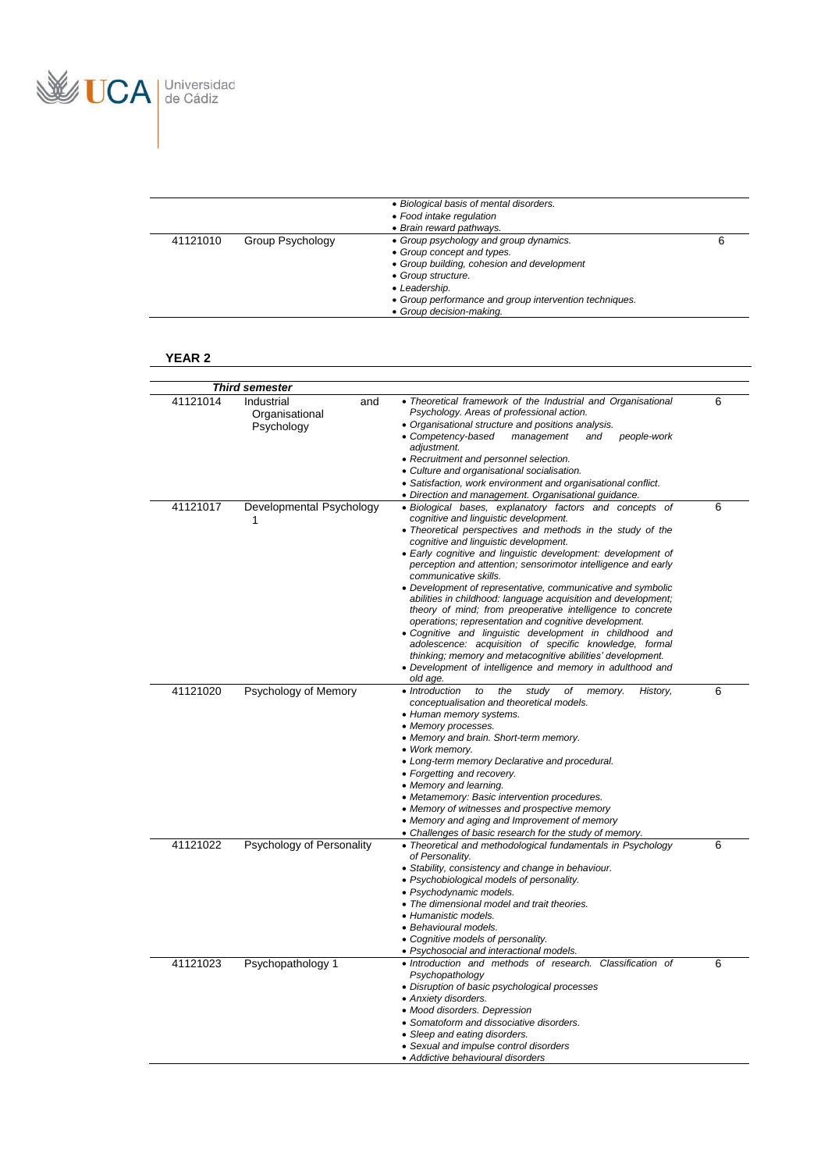

|          |                  | • Biological basis of mental disorders.<br>• Food intake regulation<br>• Brain reward pathways.                                                                                                                                                 |  |
|----------|------------------|-------------------------------------------------------------------------------------------------------------------------------------------------------------------------------------------------------------------------------------------------|--|
| 41121010 | Group Psychology | • Group psychology and group dynamics.<br>• Group concept and types.<br>• Group building, cohesion and development<br>• Group structure.<br>• Leadership.<br>• Group performance and group intervention techniques.<br>• Group decision-making. |  |

|          | Third semester                                    |                                                                                                                                                                                                                                                                                                                                                                                                                                                                                                                                                                                                                                                                                                                                                                                                                                                                                                                                              |   |
|----------|---------------------------------------------------|----------------------------------------------------------------------------------------------------------------------------------------------------------------------------------------------------------------------------------------------------------------------------------------------------------------------------------------------------------------------------------------------------------------------------------------------------------------------------------------------------------------------------------------------------------------------------------------------------------------------------------------------------------------------------------------------------------------------------------------------------------------------------------------------------------------------------------------------------------------------------------------------------------------------------------------------|---|
| 41121014 | Industrial<br>and<br>Organisational<br>Psychology | • Theoretical framework of the Industrial and Organisational<br>Psychology. Areas of professional action.<br>• Organisational structure and positions analysis.<br>• Competency-based<br>management<br>people-work<br>and<br>adjustment.<br>• Recruitment and personnel selection.<br>• Culture and organisational socialisation.<br>• Satisfaction, work environment and organisational conflict.                                                                                                                                                                                                                                                                                                                                                                                                                                                                                                                                           | 6 |
| 41121017 | Developmental Psychology<br>1                     | • Direction and management. Organisational guidance.<br>· Biological bases, explanatory factors and concepts of<br>cognitive and linguistic development.<br>• Theoretical perspectives and methods in the study of the<br>cognitive and linguistic development.<br>· Early cognitive and linguistic development: development of<br>perception and attention; sensorimotor intelligence and early<br>communicative skills.<br>• Development of representative, communicative and symbolic<br>abilities in childhood: language acquisition and development;<br>theory of mind; from preoperative intelligence to concrete<br>operations; representation and cognitive development.<br>. Cognitive and linguistic development in childhood and<br>adolescence: acquisition of specific knowledge, formal<br>thinking; memory and metacognitive abilities' development.<br>• Development of intelligence and memory in adulthood and<br>old age. | 6 |
| 41121020 | Psychology of Memory                              | • Introduction<br>to<br>the<br>study<br>History,<br>оf<br>memory.<br>conceptualisation and theoretical models.<br>• Human memory systems.<br>• Memory processes.<br>• Memory and brain. Short-term memory.<br>• Work memory.<br>• Long-term memory Declarative and procedural.<br>• Forgetting and recovery.<br>• Memory and learning.<br>• Metamemory: Basic intervention procedures.<br>• Memory of witnesses and prospective memory<br>• Memory and aging and Improvement of memory<br>• Challenges of basic research for the study of memory.                                                                                                                                                                                                                                                                                                                                                                                            | 6 |
| 41121022 | Psychology of Personality                         | • Theoretical and methodological fundamentals in Psychology<br>of Personality.<br>• Stability, consistency and change in behaviour.<br>• Psychobiological models of personality.<br>· Psychodynamic models.<br>• The dimensional model and trait theories.<br>• Humanistic models.<br>• Behavioural models.<br>• Cognitive models of personality.<br>• Psychosocial and interactional models.                                                                                                                                                                                                                                                                                                                                                                                                                                                                                                                                                | 6 |
| 41121023 | Psychopathology 1                                 | • Introduction and methods of research. Classification of<br>Psychopathology<br>• Disruption of basic psychological processes<br>• Anxiety disorders.<br>• Mood disorders. Depression<br>• Somatoform and dissociative disorders.<br>• Sleep and eating disorders.<br>• Sexual and impulse control disorders<br>• Addictive behavioural disorders                                                                                                                                                                                                                                                                                                                                                                                                                                                                                                                                                                                            | 6 |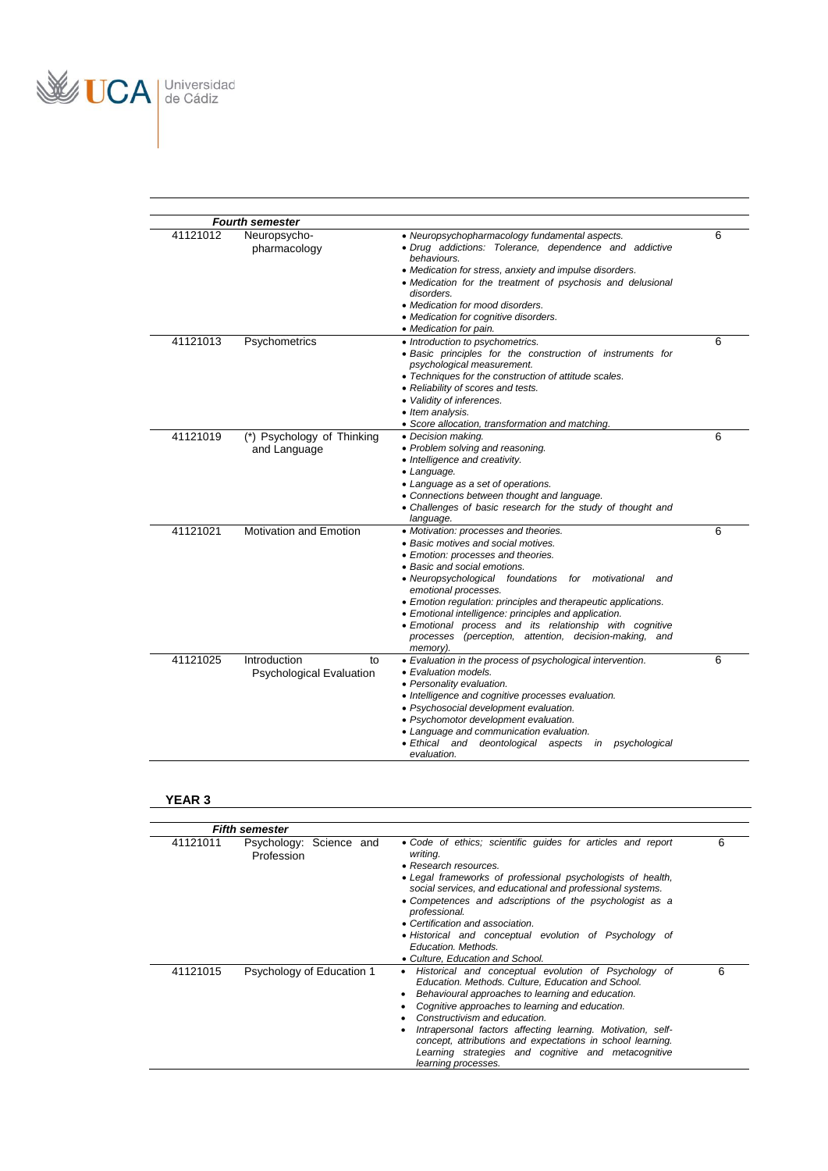

|          | <b>Fourth semester</b>                                |                                                                                                                                                                                                                                                                                                                                                                                                                                                                                                    |   |
|----------|-------------------------------------------------------|----------------------------------------------------------------------------------------------------------------------------------------------------------------------------------------------------------------------------------------------------------------------------------------------------------------------------------------------------------------------------------------------------------------------------------------------------------------------------------------------------|---|
| 41121012 | Neuropsycho-<br>pharmacology                          | • Neuropsychopharmacology fundamental aspects.<br>· Drug addictions: Tolerance, dependence and addictive<br>behaviours.<br>• Medication for stress, anxiety and impulse disorders.<br>• Medication for the treatment of psychosis and delusional<br>disorders.<br>• Medication for mood disorders.<br>• Medication for cognitive disorders.<br>• Medication for pain.                                                                                                                              | 6 |
| 41121013 | Psychometrics                                         | • Introduction to psychometrics.<br>· Basic principles for the construction of instruments for<br>psychological measurement.<br>• Techniques for the construction of attitude scales.<br>• Reliability of scores and tests.<br>• Validity of inferences.<br>• Item analysis.<br>· Score allocation, transformation and matching.                                                                                                                                                                   | 6 |
| 41121019 | (*) Psychology of Thinking<br>and Language            | • Decision making.<br>• Problem solving and reasoning.<br>• Intelligence and creativity.<br>• Language.<br>• Language as a set of operations.<br>• Connections between thought and language.<br>• Challenges of basic research for the study of thought and<br>language.                                                                                                                                                                                                                           | 6 |
| 41121021 | <b>Motivation and Emotion</b>                         | • Motivation: processes and theories.<br>• Basic motives and social motives.<br>• Emotion: processes and theories.<br>• Basic and social emotions.<br>• Neuropsychological foundations for motivational<br>and<br>emotional processes.<br>• Emotion regulation: principles and therapeutic applications.<br>• Emotional intelligence: principles and application.<br>• Emotional process and its relationship with cognitive<br>processes (perception, attention, decision-making, and<br>memory). | 6 |
| 41121025 | Introduction<br>to<br><b>Psychological Evaluation</b> | • Evaluation in the process of psychological intervention.<br>• Evaluation models.<br>• Personality evaluation.<br>• Intelligence and cognitive processes evaluation.<br>• Psychosocial development evaluation.<br>• Psychomotor development evaluation.<br>• Language and communication evaluation.<br>• Ethical and deontological aspects in psychological<br>evaluation.                                                                                                                        | 6 |

|          | <b>Fifth semester</b>                 |                                                                                                                                                                                                                                                                                                                                                                                                                                                                    |   |
|----------|---------------------------------------|--------------------------------------------------------------------------------------------------------------------------------------------------------------------------------------------------------------------------------------------------------------------------------------------------------------------------------------------------------------------------------------------------------------------------------------------------------------------|---|
| 41121011 | Psychology: Science and<br>Profession | • Code of ethics: scientific quides for articles and report<br>writing.<br>• Research resources.<br>• Legal frameworks of professional psychologists of health,<br>social services, and educational and professional systems.<br>• Competences and adscriptions of the psychologist as a<br>professional.<br>• Certification and association.<br>• Historical and conceptual evolution of Psychology of<br>Education, Methods.<br>• Culture, Education and School. | 6 |
| 41121015 | Psychology of Education 1             | Historical and conceptual evolution of Psychology of<br>Education. Methods. Culture, Education and School.<br>Behavioural approaches to learning and education.<br>Cognitive approaches to learning and education.<br>Constructivism and education.<br>Intrapersonal factors affecting learning. Motivation, self-<br>concept, attributions and expectations in school learning.<br>Learning strategies and cognitive and metacognitive<br>learning processes.     | 6 |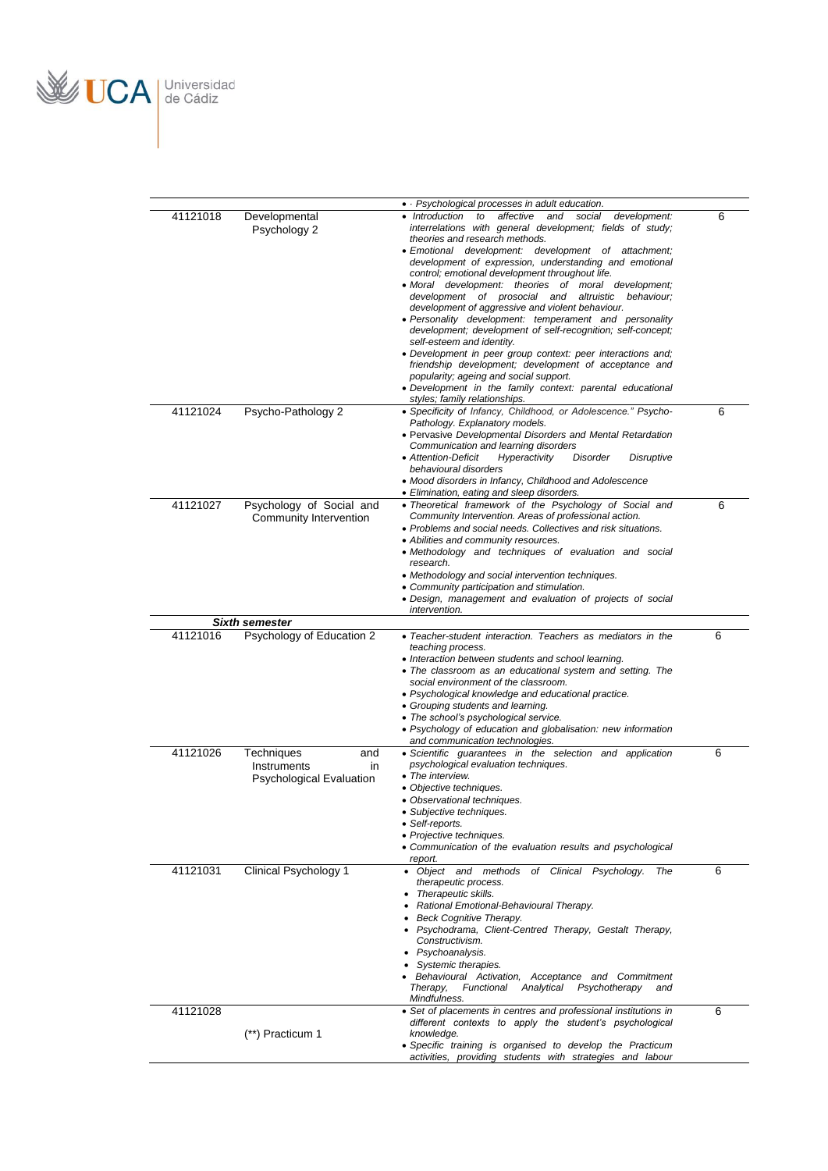

| 41121018 | Developmental<br>Psychology 2                                             | • Psychological processes in adult education.<br>affective<br>and social<br>development:<br>• Introduction<br>to<br>interrelations with general development; fields of study;<br>theories and research methods.<br>• Emotional development: development of attachment;<br>development of expression, understanding and emotional<br>control; emotional development throughout life.<br>• Moral development: theories of moral development;<br>development of prosocial and altruistic behaviour;<br>development of aggressive and violent behaviour.<br>• Personality development: temperament and personality<br>development; development of self-recognition; self-concept;<br>self-esteem and identity.<br>• Development in peer group context: peer interactions and;<br>friendship development; development of acceptance and<br>popularity; ageing and social support.<br>• Development in the family context: parental educational<br>styles; family relationships. | 6 |
|----------|---------------------------------------------------------------------------|----------------------------------------------------------------------------------------------------------------------------------------------------------------------------------------------------------------------------------------------------------------------------------------------------------------------------------------------------------------------------------------------------------------------------------------------------------------------------------------------------------------------------------------------------------------------------------------------------------------------------------------------------------------------------------------------------------------------------------------------------------------------------------------------------------------------------------------------------------------------------------------------------------------------------------------------------------------------------|---|
| 41121024 | Psycho-Pathology 2                                                        | · Specificity of Infancy, Childhood, or Adolescence." Psycho-<br>Pathology. Explanatory models.<br>• Pervasive Developmental Disorders and Mental Retardation<br>Communication and learning disorders<br>• Attention-Deficit<br>Hyperactivity<br>Disorder<br>Disruptive<br>behavioural disorders<br>• Mood disorders in Infancy, Childhood and Adolescence<br>• Elimination, eating and sleep disorders.                                                                                                                                                                                                                                                                                                                                                                                                                                                                                                                                                                   | 6 |
| 41121027 | Psychology of Social and<br>Community Intervention                        | • Theoretical framework of the Psychology of Social and<br>Community Intervention. Areas of professional action.<br>• Problems and social needs. Collectives and risk situations.<br>• Abilities and community resources.<br>· Methodology and techniques of evaluation and social<br>research.<br>• Methodology and social intervention techniques.<br>• Community participation and stimulation.<br>• Design, management and evaluation of projects of social<br>intervention.                                                                                                                                                                                                                                                                                                                                                                                                                                                                                           | 6 |
|          | <b>Sixth semester</b>                                                     |                                                                                                                                                                                                                                                                                                                                                                                                                                                                                                                                                                                                                                                                                                                                                                                                                                                                                                                                                                            |   |
| 41121016 | Psychology of Education 2                                                 | • Teacher-student interaction. Teachers as mediators in the<br>teaching process.<br>• Interaction between students and school learning.<br>• The classroom as an educational system and setting. The<br>social environment of the classroom.<br>• Psychological knowledge and educational practice.<br>• Grouping students and learning.<br>• The school's psychological service.<br>• Psychology of education and globalisation: new information<br>and communication technologies.                                                                                                                                                                                                                                                                                                                                                                                                                                                                                       | 6 |
| 41121026 | Techniques<br>and<br>Instruments<br>in<br><b>Psychological Evaluation</b> | • Scientific guarantees in the selection and application<br>psychological evaluation techniques.<br>• The interview.<br>• Objective techniques.<br>• Observational techniques.<br>· Subjective techniques.<br>• Self-reports.<br>• Projective techniques.<br>• Communication of the evaluation results and psychological<br>report.                                                                                                                                                                                                                                                                                                                                                                                                                                                                                                                                                                                                                                        | 6 |
| 41121031 | <b>Clinical Psychology 1</b>                                              | • Object and methods of Clinical Psychology.<br>The<br>therapeutic process.<br>Therapeutic skills.<br>Rational Emotional-Behavioural Therapy.<br>Beck Cognitive Therapy.<br>• Psychodrama, Client-Centred Therapy, Gestalt Therapy,<br>Constructivism.<br>• Psychoanalysis.<br>Systemic therapies.<br>Behavioural Activation, Acceptance and Commitment<br>Therapy,<br>Psychotherapy<br>Functional<br>Analytical<br>and<br>Mindfulness.                                                                                                                                                                                                                                                                                                                                                                                                                                                                                                                                    | 6 |
| 41121028 | (**) Practicum 1                                                          | • Set of placements in centres and professional institutions in<br>different contexts to apply the student's psychological<br>knowledge.<br>• Specific training is organised to develop the Practicum<br>activities, providing students with strategies and labour                                                                                                                                                                                                                                                                                                                                                                                                                                                                                                                                                                                                                                                                                                         | 6 |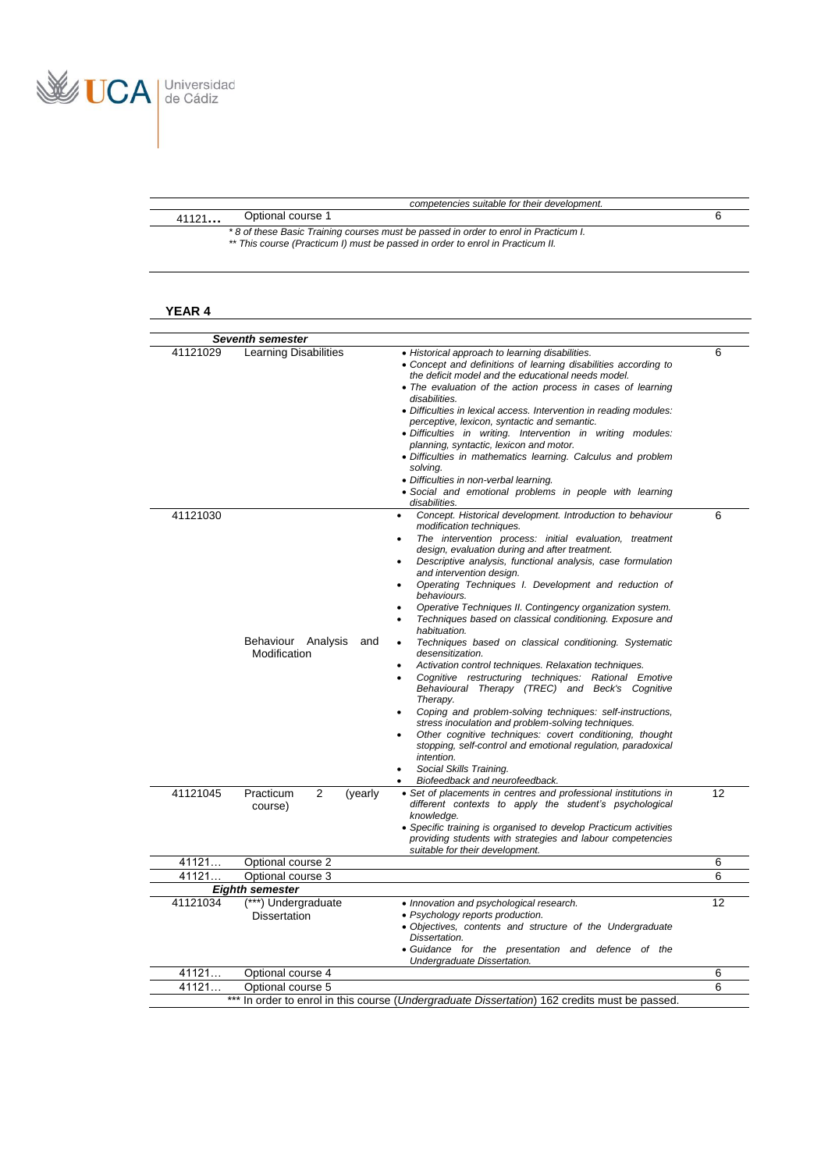

| competencies suitable for their development.                                                                                                                          |  |
|-----------------------------------------------------------------------------------------------------------------------------------------------------------------------|--|
| Optional course 1<br>41121                                                                                                                                            |  |
| *8 of these Basic Training courses must be passed in order to enrol in Practicum I.<br>** This course (Practicum I) must be passed in order to enrol in Practicum II. |  |

|          | <b>Seventh semester</b>                    |                                                                                                                                                                                                                                                                                                                                                                                                                                                                                                                                                                                                                                                                                                                                                                                                                                                                                                                                                                                                                                                                                                                     |    |
|----------|--------------------------------------------|---------------------------------------------------------------------------------------------------------------------------------------------------------------------------------------------------------------------------------------------------------------------------------------------------------------------------------------------------------------------------------------------------------------------------------------------------------------------------------------------------------------------------------------------------------------------------------------------------------------------------------------------------------------------------------------------------------------------------------------------------------------------------------------------------------------------------------------------------------------------------------------------------------------------------------------------------------------------------------------------------------------------------------------------------------------------------------------------------------------------|----|
| 41121029 | <b>Learning Disabilities</b>               | • Historical approach to learning disabilities.<br>• Concept and definitions of learning disabilities according to<br>the deficit model and the educational needs model.<br>• The evaluation of the action process in cases of learning<br>disabilities.<br>• Difficulties in lexical access. Intervention in reading modules:<br>perceptive, lexicon, syntactic and semantic.<br>· Difficulties in writing. Intervention in writing modules:<br>planning, syntactic, lexicon and motor.<br>· Difficulties in mathematics learning. Calculus and problem<br>solving.<br>• Difficulties in non-verbal learning.<br>• Social and emotional problems in people with learning<br>disabilities.                                                                                                                                                                                                                                                                                                                                                                                                                          | 6  |
| 41121030 | Behaviour Analysis<br>and<br>Modification  | Concept. Historical development. Introduction to behaviour<br>$\bullet$<br>modification techniques.<br>The intervention process: initial evaluation, treatment<br>design, evaluation during and after treatment.<br>Descriptive analysis, functional analysis, case formulation<br>and intervention design.<br>Operating Techniques I. Development and reduction of<br>behaviours.<br>Operative Techniques II. Contingency organization system.<br>Techniques based on classical conditioning. Exposure and<br>habituation.<br>Techniques based on classical conditioning. Systematic<br>desensitization.<br>Activation control techniques. Relaxation techniques.<br>Cognitive restructuring techniques: Rational Emotive<br>Behavioural Therapy (TREC) and Beck's Cognitive<br>Therapy.<br>Coping and problem-solving techniques: self-instructions,<br>stress inoculation and problem-solving techniques.<br>Other cognitive techniques: covert conditioning, thought<br>stopping, self-control and emotional regulation, paradoxical<br>intention.<br>Social Skills Training.<br>Biofeedback and neurofeedback. | 6  |
| 41121045 | Practicum<br>2<br>(yearly<br>course)       | • Set of placements in centres and professional institutions in<br>different contexts to apply the student's psychological<br>knowledge.<br>• Specific training is organised to develop Practicum activities<br>providing students with strategies and labour competencies<br>suitable for their development.                                                                                                                                                                                                                                                                                                                                                                                                                                                                                                                                                                                                                                                                                                                                                                                                       | 12 |
| 41121    | Optional course 2                          |                                                                                                                                                                                                                                                                                                                                                                                                                                                                                                                                                                                                                                                                                                                                                                                                                                                                                                                                                                                                                                                                                                                     | 6  |
| 41121    | Optional course 3                          |                                                                                                                                                                                                                                                                                                                                                                                                                                                                                                                                                                                                                                                                                                                                                                                                                                                                                                                                                                                                                                                                                                                     | 6  |
|          | <b>Eighth semester</b>                     |                                                                                                                                                                                                                                                                                                                                                                                                                                                                                                                                                                                                                                                                                                                                                                                                                                                                                                                                                                                                                                                                                                                     |    |
| 41121034 | (***) Undergraduate<br><b>Dissertation</b> | • Innovation and psychological research.<br>• Psychology reports production.<br>· Objectives, contents and structure of the Undergraduate<br>Dissertation.<br>· Guidance for the presentation and defence of the<br>Undergraduate Dissertation.                                                                                                                                                                                                                                                                                                                                                                                                                                                                                                                                                                                                                                                                                                                                                                                                                                                                     | 12 |
| 41121    | Optional course 4                          |                                                                                                                                                                                                                                                                                                                                                                                                                                                                                                                                                                                                                                                                                                                                                                                                                                                                                                                                                                                                                                                                                                                     | 6  |
| 41121    | Optional course 5                          |                                                                                                                                                                                                                                                                                                                                                                                                                                                                                                                                                                                                                                                                                                                                                                                                                                                                                                                                                                                                                                                                                                                     | 6  |
|          |                                            |                                                                                                                                                                                                                                                                                                                                                                                                                                                                                                                                                                                                                                                                                                                                                                                                                                                                                                                                                                                                                                                                                                                     |    |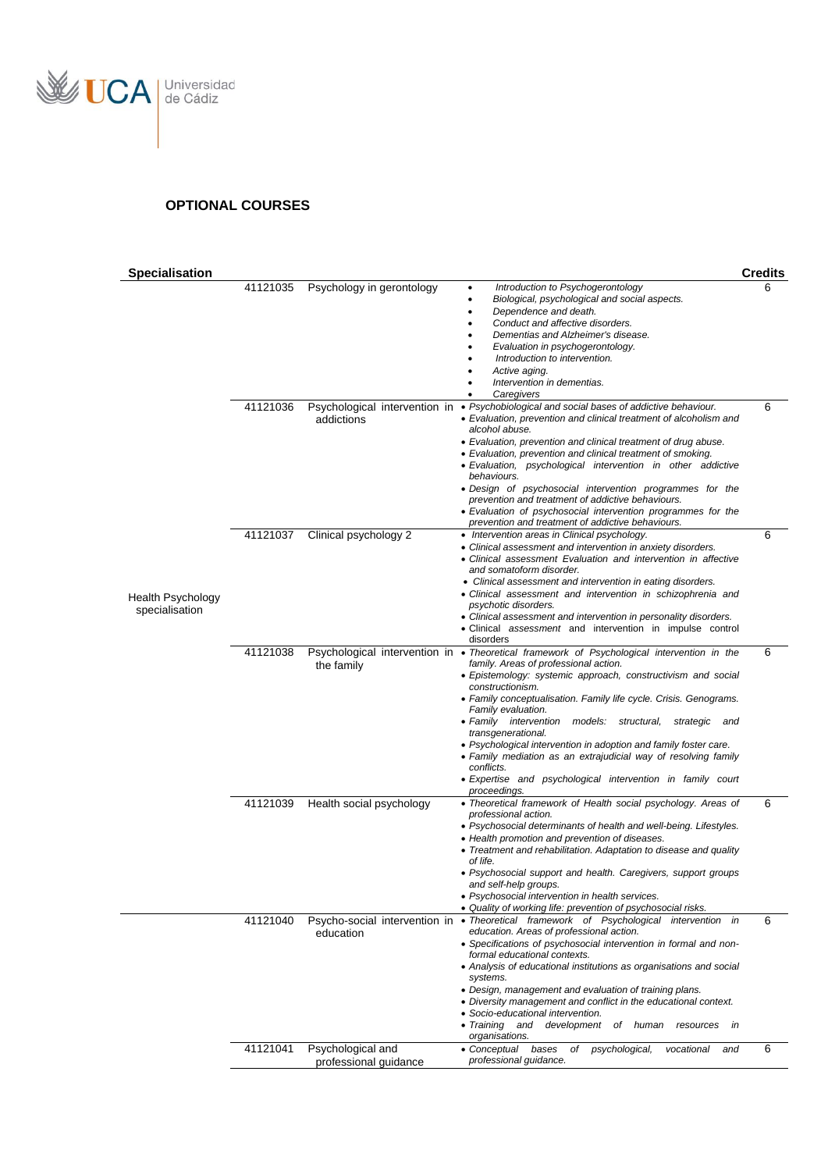

#### **OPTIONAL COURSES**

| <b>Specialisation</b>                      |          |                                             |                                                                                                                                                                                                                                                                                                                                                                                                                                                                                                                                                                                                                                          | <b>Credits</b> |
|--------------------------------------------|----------|---------------------------------------------|------------------------------------------------------------------------------------------------------------------------------------------------------------------------------------------------------------------------------------------------------------------------------------------------------------------------------------------------------------------------------------------------------------------------------------------------------------------------------------------------------------------------------------------------------------------------------------------------------------------------------------------|----------------|
|                                            | 41121035 | Psychology in gerontology                   | Introduction to Psychogerontology<br>Biological, psychological and social aspects.<br>Dependence and death.<br>Conduct and affective disorders.<br>Dementias and Alzheimer's disease.<br>Evaluation in psychogerontology.<br>Introduction to intervention.<br>Active aging.<br>Intervention in dementias.<br>Caregivers                                                                                                                                                                                                                                                                                                                  |                |
|                                            | 41121036 | Psychological intervention in<br>addictions | • Psychobiological and social bases of addictive behaviour.<br>• Evaluation, prevention and clinical treatment of alcoholism and<br>alcohol abuse.<br>• Evaluation, prevention and clinical treatment of drug abuse.<br>• Evaluation, prevention and clinical treatment of smoking.<br>· Evaluation, psychological intervention in other addictive<br>behaviours.<br>• Design of psychosocial intervention programmes for the<br>prevention and treatment of addictive behaviours.<br>• Evaluation of psychosocial intervention programmes for the<br>prevention and treatment of addictive behaviours.                                  | 6              |
| <b>Health Psychology</b><br>specialisation | 41121037 | Clinical psychology 2                       | • Intervention areas in Clinical psychology.<br>• Clinical assessment and intervention in anxiety disorders.<br>• Clinical assessment Evaluation and intervention in affective<br>and somatoform disorder.<br>• Clinical assessment and intervention in eating disorders.<br>• Clinical assessment and intervention in schizophrenia and<br>psychotic disorders.<br>• Clinical assessment and intervention in personality disorders.<br>· Clinical assessment and intervention in impulse control<br>disorders                                                                                                                           | 6              |
|                                            | 41121038 | the family                                  | Psychological intervention in • Theoretical framework of Psychological intervention in the<br>family. Areas of professional action.<br>• Epistemology: systemic approach, constructivism and social<br>constructionism.<br>• Family conceptualisation. Family life cycle. Crisis. Genograms.<br>Family evaluation.<br>• Family intervention models: structural,<br>strategic and<br>transgenerational.<br>• Psychological intervention in adoption and family foster care.<br>• Family mediation as an extrajudicial way of resolving family<br>conflicts.<br>• Expertise and psychological intervention in family court<br>proceedings. | 6              |
|                                            | 41121039 | Health social psychology                    | • Theoretical framework of Health social psychology. Areas of<br>professional action.<br>• Psychosocial determinants of health and well-being. Lifestyles.<br>• Health promotion and prevention of diseases.<br>• Treatment and rehabilitation. Adaptation to disease and quality<br>of life.<br>• Psychosocial support and health. Caregivers, support groups<br>and self-help groups.<br>• Psychosocial intervention in health services.<br>• Quality of working life: prevention of psychosocial risks.                                                                                                                               | 6              |
|                                            | 41121040 | education                                   | Psycho-social intervention in · Theoretical framework of Psychological intervention in<br>education. Areas of professional action.<br>• Specifications of psychosocial intervention in formal and non-<br>formal educational contexts.<br>• Analysis of educational institutions as organisations and social<br>systems.<br>• Design, management and evaluation of training plans.<br>• Diversity management and conflict in the educational context.<br>• Socio-educational intervention.<br>• Training and development<br>of human<br>in<br>resources<br>organisations.                                                                | 6              |
|                                            | 41121041 | Psychological and<br>professional guidance  | psychological,<br>• Conceptual<br>bases<br>of<br>vocational<br>and<br>professional guidance.                                                                                                                                                                                                                                                                                                                                                                                                                                                                                                                                             | 6              |